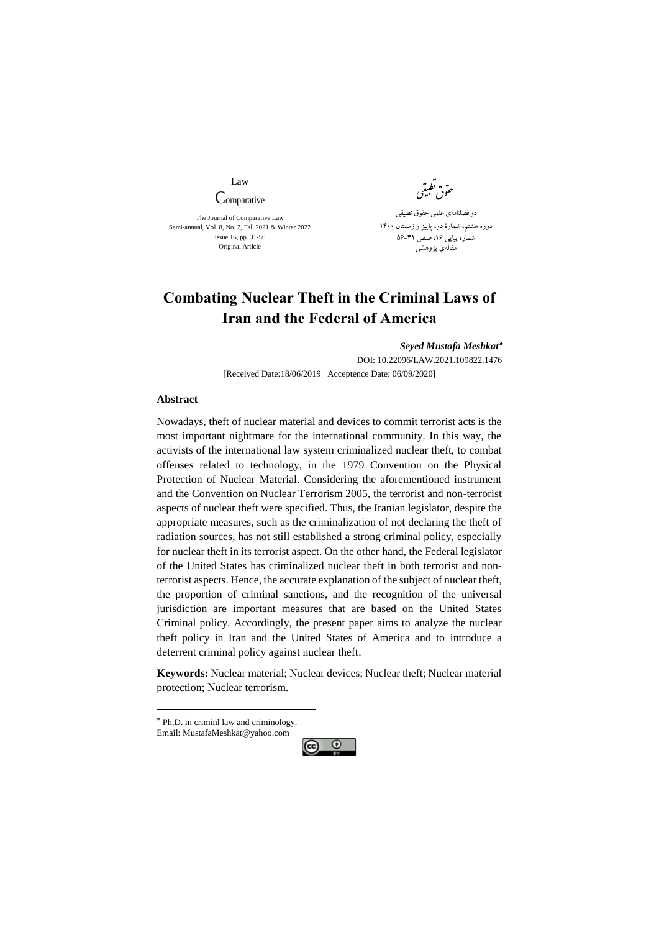Law **Comparative** 

The Journal of Comparative Law Semi-annual, Vol. 8, No. 2, Fall 2021 & Winter 2022 Issue 16, pp. 31-56 Original Article

تطب وق حقوق نظیفتی ی دو فصلنامهی علمی حقوق تطبیقی دوره هشتم، شمارۀ دو، پايیز و زمستان 1400 شماره پیاپی ۱۶، صص ۳۱–۵۶ مقالهی پژوهشی

## **Combating Nuclear Theft in the Criminal Laws of Iran and the Federal of America**

*[Seyed Mustafa Meshkat](https://ijms.ut.ac.ir/author)* DOI[: 10.22096/LAW.2021.109822.1476](https://dx.doi.org/10.22096/law.2021.109822.1476)

[Received Date:18/06/2019 Acceptence Date: 06/09/2020]

## **Abstract**

Nowadays, theft of nuclear material and devices to commit terrorist acts is the most important nightmare for the international community. In this way, the activists of the international law system criminalized nuclear theft, to combat offenses related to technology, in the 1979 Convention on the Physical Protection of Nuclear Material. Considering the aforementioned instrument and the Convention on Nuclear Terrorism 2005, the terrorist and non-terrorist aspects of nuclear theft were specified. Thus, the Iranian legislator, despite the appropriate measures, such as the criminalization of not declaring the theft of radiation sources, has not still established a strong criminal policy, especially for nuclear theft in its terrorist aspect. On the other hand, the Federal legislator of the United States has criminalized nuclear theft in both terrorist and nonterrorist aspects. Hence, the accurate explanation of the subject of nuclear theft, the proportion of criminal sanctions, and the recognition of the universal jurisdiction are important measures that are based on the United States Criminal policy. Accordingly, the present paper aims to analyze the nuclear theft policy in Iran and the United States of America and to introduce a deterrent criminal policy against nuclear theft.

**Keywords:** Nuclear material; Nuclear devices; Nuclear theft; Nuclear material protection; Nuclear terrorism.

Email: MustafaMeshkat@yahoo.com

1



Ph.D. in criminl law and criminology.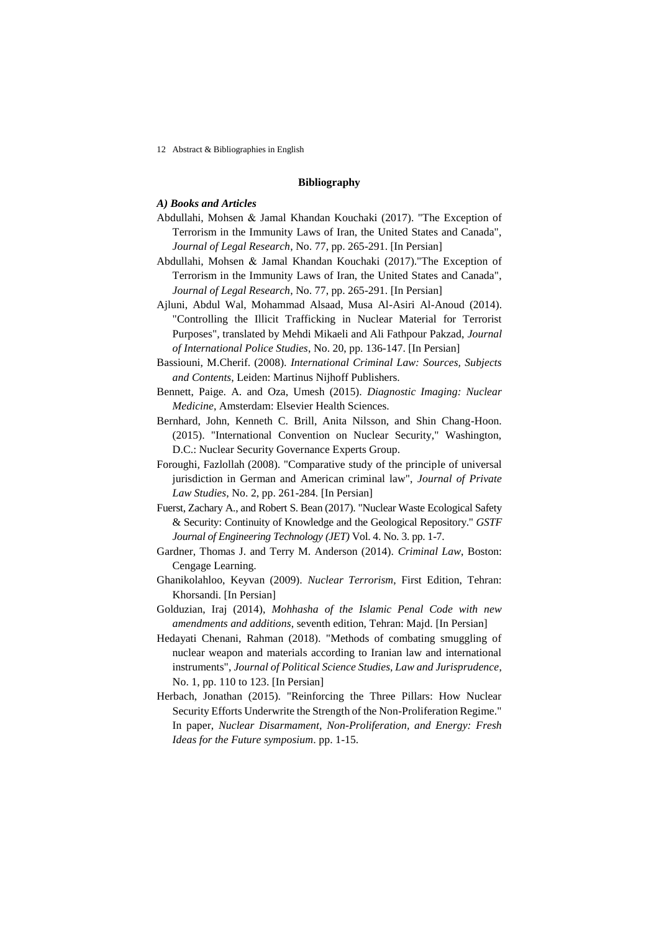12 Abstract & Bibliographies in English

## **Bibliography**

## *A) Books and Articles*

- Abdullahi, Mohsen & Jamal Khandan Kouchaki (2017). "The Exception of Terrorism in the Immunity Laws of Iran, the United States and Canada", *Journal of Legal Research*, No. 77, pp. 265-291. [In Persian]
- Abdullahi, Mohsen & Jamal Khandan Kouchaki (2017)."The Exception of Terrorism in the Immunity Laws of Iran, the United States and Canada", *Journal of Legal Research*, No. 77, pp. 265-291. [In Persian]
- Ajluni, Abdul Wal, Mohammad Alsaad, Musa Al-Asiri Al-Anoud (2014). "Controlling the Illicit Trafficking in Nuclear Material for Terrorist Purposes", translated by Mehdi Mikaeli and Ali Fathpour Pakzad, *Journal of International Police Studies*, No. 20, pp. 136-147. [In Persian]
- Bassiouni, M.Cherif. (2008). *International Criminal Law: Sources, Subjects and Contents*, Leiden: Martinus Nijhoff Publishers.
- Bennett, Paige. A. and Oza, Umesh (2015). *Diagnostic Imaging: Nuclear Medicine*, Amsterdam: Elsevier Health Sciences.
- Bernhard, John, Kenneth C. Brill, Anita Nilsson, and Shin Chang-Hoon. (2015). "International Convention on Nuclear Security," Washington, D.C.: Nuclear Security Governance Experts Group.
- Foroughi, Fazlollah (2008). "Comparative study of the principle of universal jurisdiction in German and American criminal law", *Journal of Private Law Studies*, No. 2, pp. 261-284. [In Persian]
- Fuerst, Zachary A., and Robert S. Bean (2017). "Nuclear Waste Ecological Safety & Security: Continuity of Knowledge and the Geological Repository." *GSTF Journal of Engineering Technology (JET)* Vol. 4. No. 3. pp. 1-7.
- Gardner, Thomas J. and Terry M. Anderson (2014). *Criminal Law*, Boston: Cengage Learning.
- Ghanikolahloo, Keyvan (2009). *Nuclear Terrorism*, First Edition, Tehran: Khorsandi. [In Persian]
- Golduzian, Iraj (2014), *Mohhasha of the Islamic Penal Code with new amendments and additions*, seventh edition, Tehran: Majd. [In Persian]
- Hedayati Chenani, Rahman (2018). "Methods of combating smuggling of nuclear weapon and materials according to Iranian law and international instruments", *Journal of Political Science Studies, Law and Jurisprudence*, No. 1, pp. 110 to 123. [In Persian]
- Herbach, Jonathan (2015). "Reinforcing the Three Pillars: How Nuclear Security Efforts Underwrite the Strength of the Non-Proliferation Regime." In paper, *Nuclear Disarmament, Non-Proliferation, and Energy: Fresh Ideas for the Future symposium*. pp. 1-15.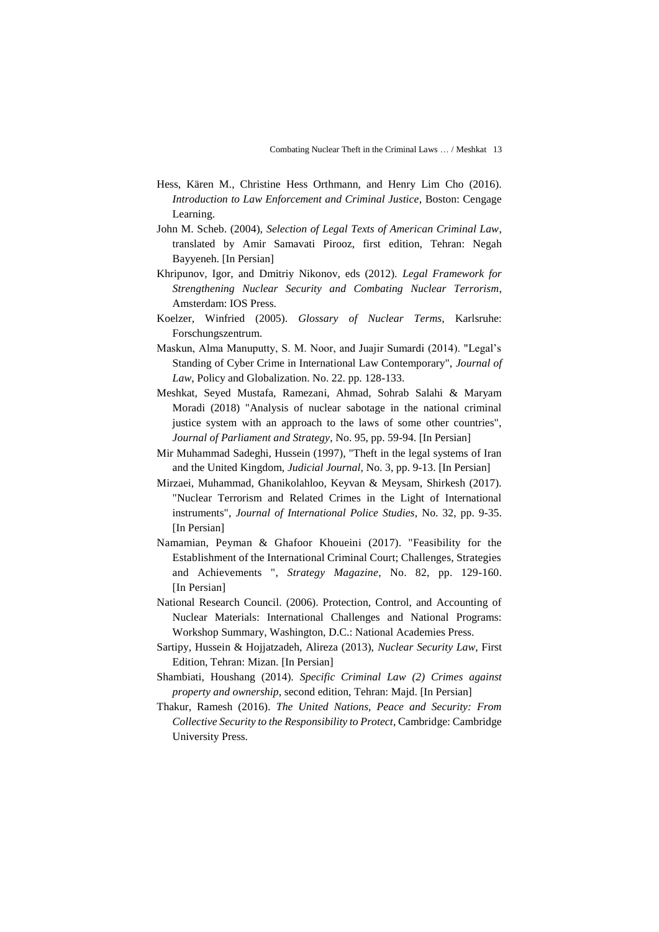- Hess, Kären M., Christine Hess Orthmann, and Henry Lim Cho (2016). *Introduction to Law Enforcement and Criminal Justice*, Boston: Cengage Learning.
- John M. Scheb. (2004), *Selection of Legal Texts of American Criminal Law*, translated by Amir Samavati Pirooz, first edition, Tehran: Negah Bayyeneh. [In Persian]
- Khripunov, Igor, and Dmitriy Nikonov, eds (2012). *Legal Framework for Strengthening Nuclear Security and Combating Nuclear Terrorism*, Amsterdam: IOS Press.
- Koelzer, Winfried (2005). *Glossary of Nuclear Terms*, Karlsruhe: Forschungszentrum.
- Maskun, Alma Manuputty, S. M. Noor, and Juajir Sumardi (2014). "Legal's Standing of Cyber Crime in International Law Contemporary", *Journal of Law*, Policy and Globalization. No. 22. pp. 128-133.
- Meshkat, Seyed Mustafa, Ramezani, Ahmad, Sohrab Salahi & Maryam Moradi (2018) "Analysis of nuclear sabotage in the national criminal justice system with an approach to the laws of some other countries", *Journal of Parliament and Strategy*, No. 95, pp. 59-94. [In Persian]
- Mir Muhammad Sadeghi, Hussein (1997), "Theft in the legal systems of Iran and the United Kingdom, *Judicial Journal*, No. 3, pp. 9-13. [In Persian]
- Mirzaei, Muhammad, Ghanikolahloo, Keyvan & Meysam, Shirkesh (2017). "Nuclear Terrorism and Related Crimes in the Light of International instruments", *Journal of International Police Studies*, No. 32, pp. 9-35. [In Persian]
- Namamian, Peyman & Ghafoor Khoueini (2017). "Feasibility for the Establishment of the International Criminal Court; Challenges, Strategies and Achievements ", *Strategy Magazine*, No. 82, pp. 129-160. [In Persian]
- National Research Council. (2006). Protection, Control, and Accounting of Nuclear Materials: International Challenges and National Programs: Workshop Summary, Washington, D.C.: National Academies Press.
- Sartipy, Hussein & Hojjatzadeh, Alireza (2013), *Nuclear Security Law*, First Edition, Tehran: Mizan. [In Persian]
- Shambiati, Houshang (2014). *Specific Criminal Law (2) Crimes against property and ownership*, second edition, Tehran: Majd. [In Persian]
- Thakur, Ramesh (2016). *The United Nations, Peace and Security: From Collective Security to the Responsibility to Protect*, Cambridge: Cambridge University Press.